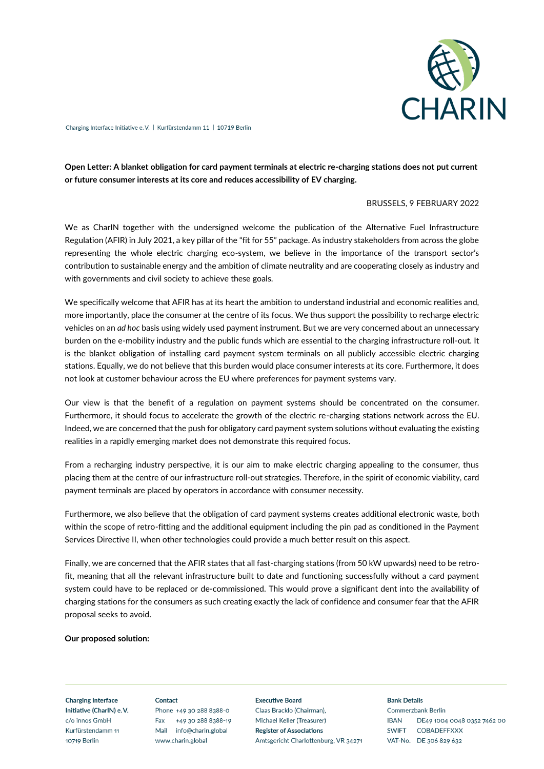

Charging Interface Initiative e.V. | Kurfürstendamm 11 | 10719 Berlin

# **Open Letter: A blanket obligation for card payment terminals at electric re-charging stations does not put current or future consumer interests at its core and reduces accessibility of EV charging.**

## BRUSSELS, 9 FEBRUARY 2022

We as CharIN together with the undersigned welcome the publication of the Alternative Fuel Infrastructure Regulation (AFIR) in July 2021, a key pillar of the "fit for 55" package. As industry stakeholders from across the globe representing the whole electric charging eco-system, we believe in the importance of the transport sector's contribution to sustainable energy and the ambition of climate neutrality and are cooperating closely as industry and with governments and civil society to achieve these goals.

We specifically welcome that AFIR has at its heart the ambition to understand industrial and economic realities and, more importantly, place the consumer at the centre of its focus. We thus support the possibility to recharge electric vehicles on an *ad hoc* basis using widely used payment instrument. But we are very concerned about an unnecessary burden on the e-mobility industry and the public funds which are essential to the charging infrastructure roll-out. It is the blanket obligation of installing card payment system terminals on all publicly accessible electric charging stations. Equally, we do not believe that this burden would place consumer interests at its core. Furthermore, it does not look at customer behaviour across the EU where preferences for payment systems vary.

Our view is that the benefit of a regulation on payment systems should be concentrated on the consumer. Furthermore, it should focus to accelerate the growth of the electric re-charging stations network across the EU. Indeed, we are concerned that the push for obligatory card payment system solutions without evaluating the existing realities in a rapidly emerging market does not demonstrate this required focus.

From a recharging industry perspective, it is our aim to make electric charging appealing to the consumer, thus placing them at the centre of our infrastructure roll-out strategies. Therefore, in the spirit of economic viability, card payment terminals are placed by operators in accordance with consumer necessity.

Furthermore, we also believe that the obligation of card payment systems creates additional electronic waste, both within the scope of retro-fitting and the additional equipment including the pin pad as conditioned in the Payment Services Directive II, when other technologies could provide a much better result on this aspect.

Finally, we are concerned that the AFIR states that all fast-charging stations (from 50 kW upwards) need to be retrofit, meaning that all the relevant infrastructure built to date and functioning successfully without a card payment system could have to be replaced or de-commissioned. This would prove a significant dent into the availability of charging stations for the consumers as such creating exactly the lack of confidence and consumer fear that the AFIR proposal seeks to avoid.

#### **Our proposed solution:**

**Charging Interface** Initiative (CharlN) e.V. c/o innos GmbH Kurfürstendamm 11 10719 Berlin

Contact Phone +49 30 288 8388-0 Fax +49 30 288 8388-19 Mail info@charin.global www.charin.global

**Executive Board** Claas Bracklo (Chairman). Michael Keller (Treasurer) **Register of Associations** Amtsgericht Charlottenburg, VR 34271

#### **Bank Details**

**Commerzbank Berlin IBAN** DE49 1004 0048 0352 7462 00 SWIFT COBADEFFXXX VAT-No. DE 306 829 632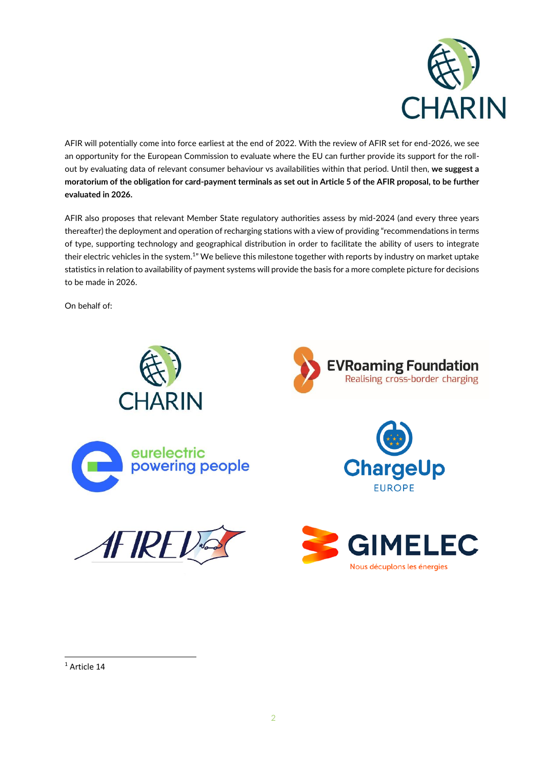

AFIR will potentially come into force earliest at the end of 2022. With the review of AFIR set for end-2026, we see an opportunity for the European Commission to evaluate where the EU can further provide its support for the rollout by evaluating data of relevant consumer behaviour vs availabilities within that period. Until then, **we suggest a moratorium of the obligation for card-payment terminals as set out in Article 5 of the AFIR proposal, to be further evaluated in 2026.**

AFIR also proposes that relevant Member State regulatory authorities assess by mid-2024 (and every three years thereafter) the deployment and operation of recharging stations with a view of providing "recommendations in terms of type, supporting technology and geographical distribution in order to facilitate the ability of users to integrate their electric vehicles in the system.<sup>1</sup>" We believe this milestone together with reports by industry on market uptake statistics in relation to availability of payment systems will provide the basis for a more complete picture for decisions to be made in 2026.

On behalf of:



 $1$  Article 14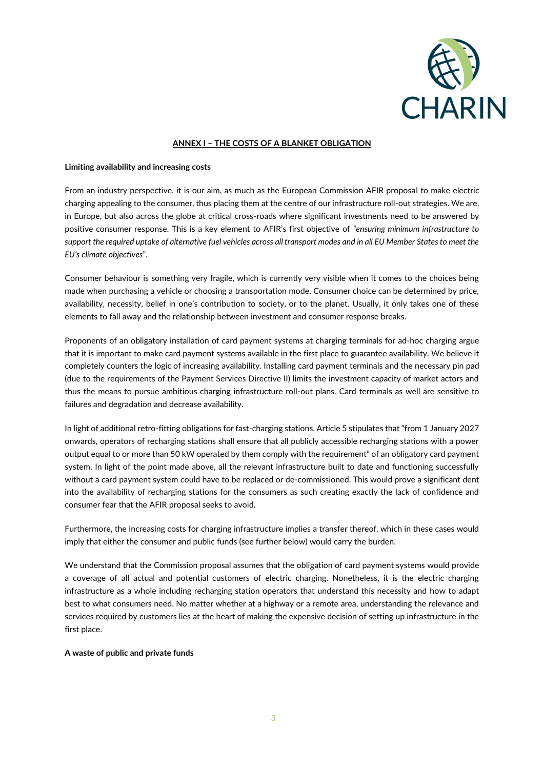

## **ANNEX I – THE COSTS OF A BLANKET OBLIGATION**

### **Limiting availability and increasing costs**

From an industry perspective, it is our aim, as much as the European Commission AFIR proposal to make electric charging appealing to the consumer, thus placing them at the centre of our infrastructure roll-out strategies. We are, in Europe, but also across the globe at critical cross-roads where significant investments need to be answered by positive consumer response. This is a key element to AFIR's first objective of *"ensuring minimum infrastructure to support the required uptake of alternative fuel vehicles across all transport modes and in all EU Member States to meet the EU's climate objectives*".

Consumer behaviour is something very fragile, which is currently very visible when it comes to the choices being made when purchasing a vehicle or choosing a transportation mode. Consumer choice can be determined by price, availability, necessity, belief in one's contribution to society, or to the planet. Usually, it only takes one of these elements to fall away and the relationship between investment and consumer response breaks.

Proponents of an obligatory installation of card payment systems at charging terminals for ad-hoc charging argue that it is important to make card payment systems available in the first place to guarantee availability. We believe it completely counters the logic of increasing availability. Installing card payment terminals and the necessary pin pad (due to the requirements of the Payment Services Directive II) limits the investment capacity of market actors and thus the means to pursue ambitious charging infrastructure roll-out plans. Card terminals as well are sensitive to failures and degradation and decrease availability.

In light of additional retro-fitting obligations for fast-charging stations, Article 5 stipulates that "from 1 January 2027 onwards, operators of recharging stations shall ensure that all publicly accessible recharging stations with a power output equal to or more than 50 kW operated by them comply with the requirement" of an obligatory card payment system. In light of the point made above, all the relevant infrastructure built to date and functioning successfully without a card payment system could have to be replaced or de-commissioned. This would prove a significant dent into the availability of recharging stations for the consumers as such creating exactly the lack of confidence and consumer fear that the AFIR proposal seeks to avoid.

Furthermore, the increasing costs for charging infrastructure implies a transfer thereof, which in these cases would imply that either the consumer and public funds (see further below) would carry the burden.

We understand that the Commission proposal assumes that the obligation of card payment systems would provide a coverage of all actual and potential customers of electric charging. Nonetheless, it is the electric charging infrastructure as a whole including recharging station operators that understand this necessity and how to adapt best to what consumers need. No matter whether at a highway or a remote area, understanding the relevance and services required by customers lies at the heart of making the expensive decision of setting up infrastructure in the first place.

#### **A waste of public and private funds**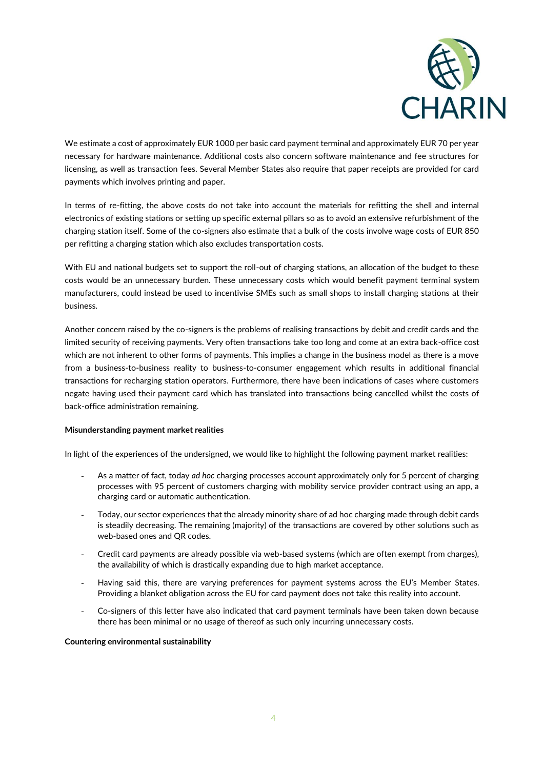

We estimate a cost of approximately EUR 1000 per basic card payment terminal and approximately EUR 70 per year necessary for hardware maintenance. Additional costs also concern software maintenance and fee structures for licensing, as well as transaction fees. Several Member States also require that paper receipts are provided for card payments which involves printing and paper.

In terms of re-fitting, the above costs do not take into account the materials for refitting the shell and internal electronics of existing stations or setting up specific external pillars so as to avoid an extensive refurbishment of the charging station itself. Some of the co-signers also estimate that a bulk of the costs involve wage costs of EUR 850 per refitting a charging station which also excludes transportation costs.

With EU and national budgets set to support the roll-out of charging stations, an allocation of the budget to these costs would be an unnecessary burden. These unnecessary costs which would benefit payment terminal system manufacturers, could instead be used to incentivise SMEs such as small shops to install charging stations at their business.

Another concern raised by the co-signers is the problems of realising transactions by debit and credit cards and the limited security of receiving payments. Very often transactions take too long and come at an extra back-office cost which are not inherent to other forms of payments. This implies a change in the business model as there is a move from a business-to-business reality to business-to-consumer engagement which results in additional financial transactions for recharging station operators. Furthermore, there have been indications of cases where customers negate having used their payment card which has translated into transactions being cancelled whilst the costs of back-office administration remaining.

#### **Misunderstanding payment market realities**

In light of the experiences of the undersigned, we would like to highlight the following payment market realities:

- As a matter of fact, today *ad hoc* charging processes account approximately only for 5 percent of charging processes with 95 percent of customers charging with mobility service provider contract using an app, a charging card or automatic authentication.
- Today, our sector experiences that the already minority share of ad hoc charging made through debit cards is steadily decreasing. The remaining (majority) of the transactions are covered by other solutions such as web-based ones and QR codes.
- Credit card payments are already possible via web-based systems (which are often exempt from charges), the availability of which is drastically expanding due to high market acceptance.
- Having said this, there are varying preferences for payment systems across the EU's Member States. Providing a blanket obligation across the EU for card payment does not take this reality into account.
- Co-signers of this letter have also indicated that card payment terminals have been taken down because there has been minimal or no usage of thereof as such only incurring unnecessary costs.

#### **Countering environmental sustainability**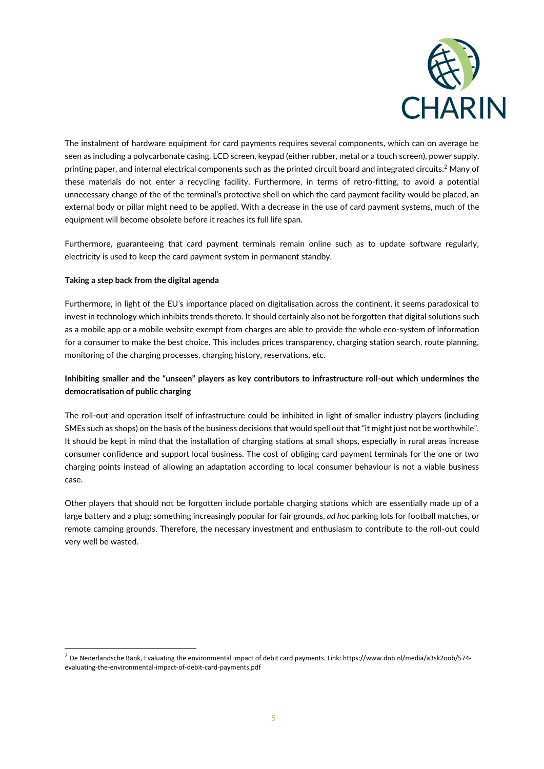

The instalment of hardware equipment for card payments requires several components, which can on average be seen as including a polycarbonate casing, LCD screen, keypad (either rubber, metal or a touch screen), power supply, printing paper, and internal electrical components such as the printed circuit board and integrated circuits.<sup>2</sup> Many of these materials do not enter a recycling facility. Furthermore, in terms of retro-fitting, to avoid a potential unnecessary change of the of the terminal's protective shell on which the card payment facility would be placed, an external body or pillar might need to be applied. With a decrease in the use of card payment systems, much of the equipment will become obsolete before it reaches its full life span.

Furthermore, guaranteeing that card payment terminals remain online such as to update software regularly, electricity is used to keep the card payment system in permanent standby.

# **Taking a step back from the digital agenda**

Furthermore, in light of the EU's importance placed on digitalisation across the continent, it seems paradoxical to invest in technology which inhibits trends thereto. It should certainly also not be forgotten that digital solutions such as a mobile app or a mobile website exempt from charges are able to provide the whole eco-system of information for a consumer to make the best choice. This includes prices transparency, charging station search, route planning, monitoring of the charging processes, charging history, reservations, etc.

# **Inhibiting smaller and the "unseen" players as key contributors to infrastructure roll-out which undermines the democratisation of public charging**

The roll-out and operation itself of infrastructure could be inhibited in light of smaller industry players (including SMEs such as shops) on the basis of the business decisions that would spell out that "it might just not be worthwhile". It should be kept in mind that the installation of charging stations at small shops, especially in rural areas increase consumer confidence and support local business. The cost of obliging card payment terminals for the one or two charging points instead of allowing an adaptation according to local consumer behaviour is not a viable business case.

Other players that should not be forgotten include portable charging stations which are essentially made up of a large battery and a plug; something increasingly popular for fair grounds, *ad hoc* parking lots for football matches, or remote camping grounds. Therefore, the necessary investment and enthusiasm to contribute to the roll-out could very well be wasted.

<sup>&</sup>lt;sup>2</sup> De Nederlandsche Bank, Evaluating the environmental impact of debit card payments. Link: https://www.dnb.nl/media/a3sk2oob/574evaluating-the-environmental-impact-of-debit-card-payments.pdf